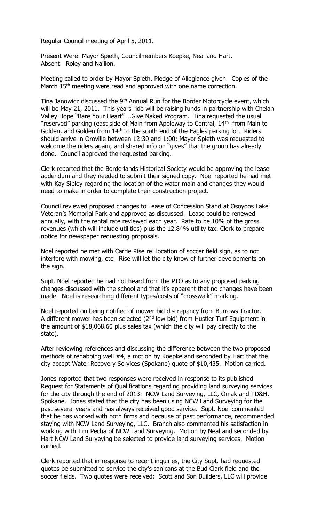Regular Council meeting of April 5, 2011.

Present Were: Mayor Spieth, Councilmembers Koepke, Neal and Hart. Absent: Roley and Naillon.

Meeting called to order by Mayor Spieth. Pledge of Allegiance given. Copies of the March 15<sup>th</sup> meeting were read and approved with one name correction.

Tina Janowicz discussed the 9<sup>th</sup> Annual Run for the Border Motorcycle event, which will be May 21, 2011. This years ride will be raising funds in partnership with Chelan Valley Hope "Bare Your Heart"….Give Naked Program. Tina requested the usual "reserved" parking (east side of Main from Appleway to Central, 14<sup>th</sup> from Main to Golden, and Golden from 14<sup>th</sup> to the south end of the Eagles parking lot. Riders should arrive in Oroville between 12:30 and 1:00; Mayor Spieth was requested to welcome the riders again; and shared info on "gives" that the group has already done. Council approved the requested parking.

Clerk reported that the Borderlands Historical Society would be approving the lease addendum and they needed to submit their signed copy. Noel reported he had met with Kay Sibley regarding the location of the water main and changes they would need to make in order to complete their construction project.

Council reviewed proposed changes to Lease of Concession Stand at Osoyoos Lake Veteran's Memorial Park and approved as discussed. Lease could be renewed annually, with the rental rate reviewed each year. Rate to be 10% of the gross revenues (which will include utilities) plus the 12.84% utility tax. Clerk to prepare notice for newspaper requesting proposals.

Noel reported he met with Carrie Rise re: location of soccer field sign, as to not interfere with mowing, etc. Rise will let the city know of further developments on the sign.

Supt. Noel reported he had not heard from the PTO as to any proposed parking changes discussed with the school and that it's apparent that no changes have been made. Noel is researching different types/costs of "crosswalk" marking.

Noel reported on being notified of mower bid discrepancy from Burrows Tractor. A different mower has been selected ( $2<sup>nd</sup>$  low bid) from Hustler Turf Equipment in the amount of \$18,068.60 plus sales tax (which the city will pay directly to the state).

After reviewing references and discussing the difference between the two proposed methods of rehabbing well #4, a motion by Koepke and seconded by Hart that the city accept Water Recovery Services (Spokane) quote of \$10,435. Motion carried.

Jones reported that two responses were received in response to its published Request for Statements of Qualifications regarding providing land surveying services for the city through the end of 2013: NCW Land Surveying, LLC, Omak and TD&H, Spokane. Jones stated that the city has been using NCW Land Surveying for the past several years and has always received good service. Supt. Noel commented that he has worked with both firms and because of past performance, recommended staying with NCW Land Surveying, LLC. Branch also commented his satisfaction in working with Tim Pecha of NCW Land Surveying. Motion by Neal and seconded by Hart NCW Land Surveying be selected to provide land surveying services. Motion carried.

Clerk reported that in response to recent inquiries, the City Supt. had requested quotes be submitted to service the city's sanicans at the Bud Clark field and the soccer fields. Two quotes were received: Scott and Son Builders, LLC will provide